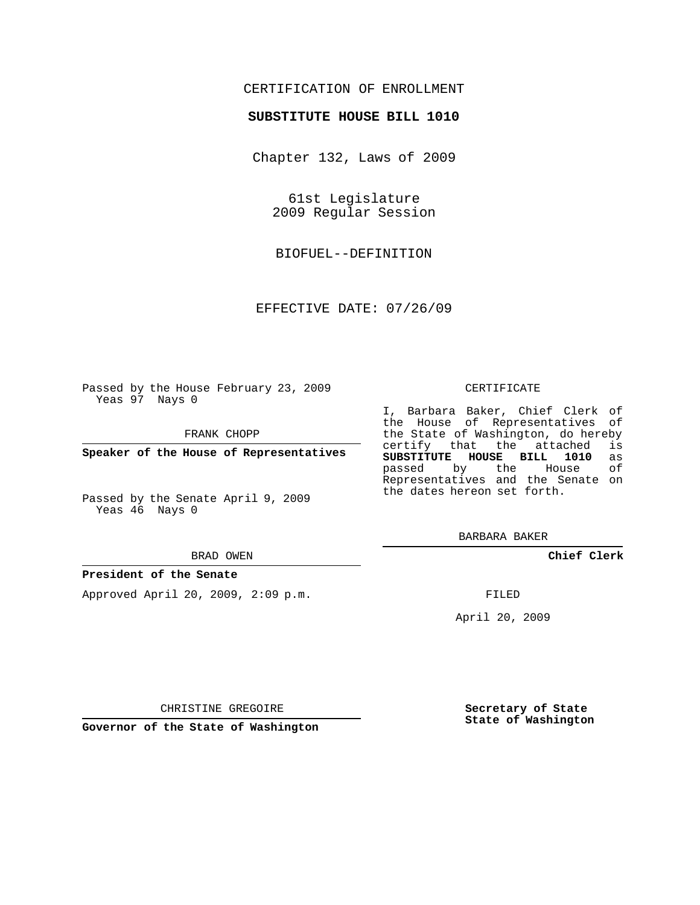## CERTIFICATION OF ENROLLMENT

### **SUBSTITUTE HOUSE BILL 1010**

Chapter 132, Laws of 2009

61st Legislature 2009 Regular Session

BIOFUEL--DEFINITION

EFFECTIVE DATE: 07/26/09

Passed by the House February 23, 2009 Yeas 97 Nays 0

FRANK CHOPP

**Speaker of the House of Representatives**

Passed by the Senate April 9, 2009 Yeas 46 Nays 0

#### BRAD OWEN

#### **President of the Senate**

Approved April 20, 2009, 2:09 p.m.

#### CERTIFICATE

I, Barbara Baker, Chief Clerk of the House of Representatives of the State of Washington, do hereby<br>certify that the attached is certify that the attached **SUBSTITUTE HOUSE BILL 1010** as passed by the Representatives and the Senate on the dates hereon set forth.

BARBARA BAKER

**Chief Clerk**

FILED

April 20, 2009

**Secretary of State State of Washington**

CHRISTINE GREGOIRE

**Governor of the State of Washington**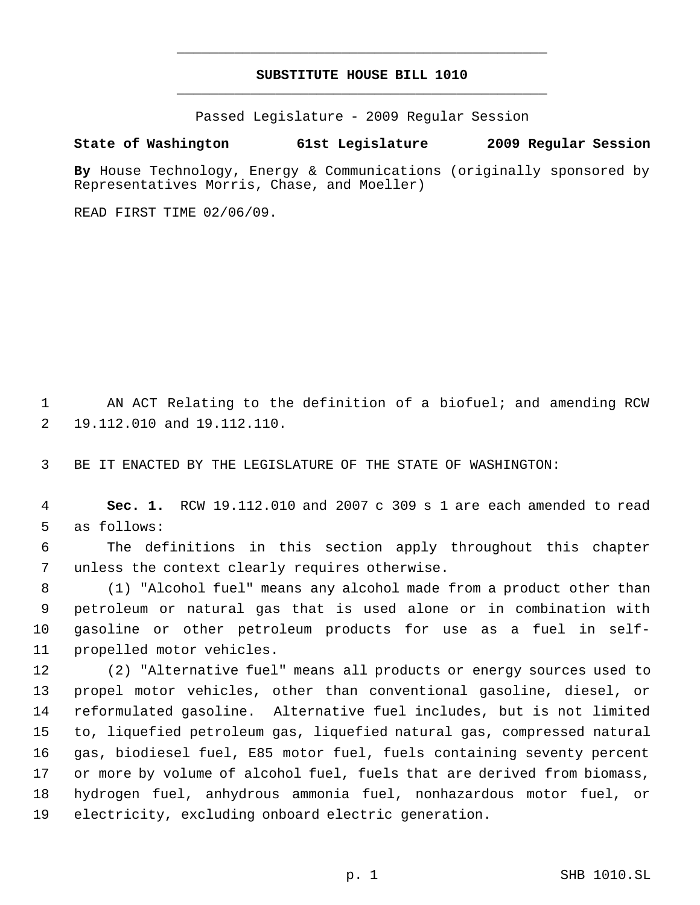# **SUBSTITUTE HOUSE BILL 1010** \_\_\_\_\_\_\_\_\_\_\_\_\_\_\_\_\_\_\_\_\_\_\_\_\_\_\_\_\_\_\_\_\_\_\_\_\_\_\_\_\_\_\_\_\_

\_\_\_\_\_\_\_\_\_\_\_\_\_\_\_\_\_\_\_\_\_\_\_\_\_\_\_\_\_\_\_\_\_\_\_\_\_\_\_\_\_\_\_\_\_

Passed Legislature - 2009 Regular Session

# **State of Washington 61st Legislature 2009 Regular Session**

**By** House Technology, Energy & Communications (originally sponsored by Representatives Morris, Chase, and Moeller)

READ FIRST TIME 02/06/09.

 AN ACT Relating to the definition of a biofuel; and amending RCW 19.112.010 and 19.112.110.

BE IT ENACTED BY THE LEGISLATURE OF THE STATE OF WASHINGTON:

 **Sec. 1.** RCW 19.112.010 and 2007 c 309 s 1 are each amended to read as follows:

 The definitions in this section apply throughout this chapter unless the context clearly requires otherwise.

 (1) "Alcohol fuel" means any alcohol made from a product other than petroleum or natural gas that is used alone or in combination with gasoline or other petroleum products for use as a fuel in self-propelled motor vehicles.

 (2) "Alternative fuel" means all products or energy sources used to propel motor vehicles, other than conventional gasoline, diesel, or reformulated gasoline. Alternative fuel includes, but is not limited to, liquefied petroleum gas, liquefied natural gas, compressed natural gas, biodiesel fuel, E85 motor fuel, fuels containing seventy percent or more by volume of alcohol fuel, fuels that are derived from biomass, hydrogen fuel, anhydrous ammonia fuel, nonhazardous motor fuel, or electricity, excluding onboard electric generation.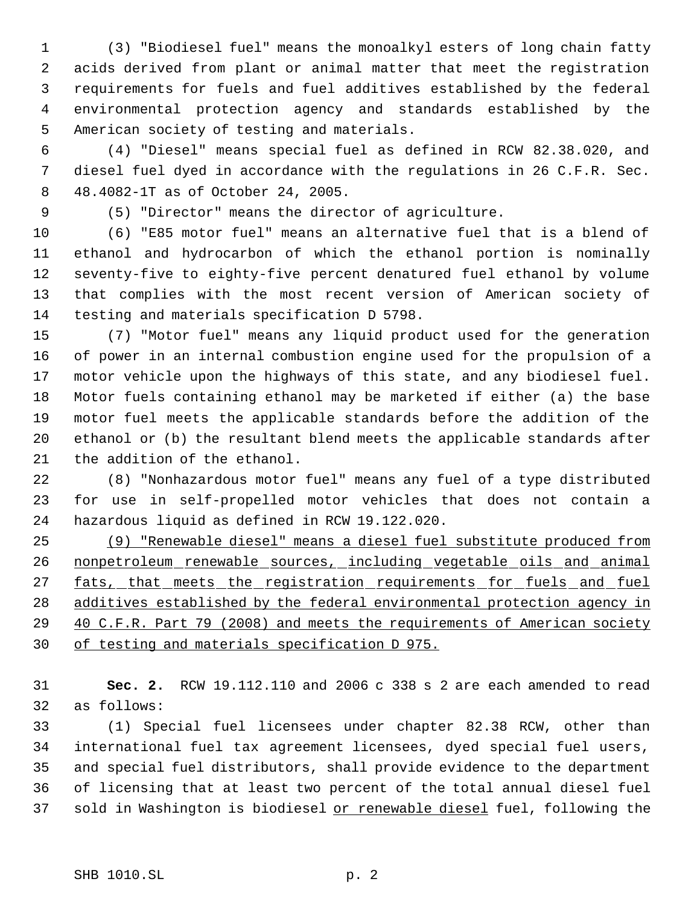(3) "Biodiesel fuel" means the monoalkyl esters of long chain fatty acids derived from plant or animal matter that meet the registration requirements for fuels and fuel additives established by the federal environmental protection agency and standards established by the American society of testing and materials.

 (4) "Diesel" means special fuel as defined in RCW 82.38.020, and diesel fuel dyed in accordance with the regulations in 26 C.F.R. Sec. 48.4082-1T as of October 24, 2005.

(5) "Director" means the director of agriculture.

 (6) "E85 motor fuel" means an alternative fuel that is a blend of ethanol and hydrocarbon of which the ethanol portion is nominally seventy-five to eighty-five percent denatured fuel ethanol by volume that complies with the most recent version of American society of testing and materials specification D 5798.

 (7) "Motor fuel" means any liquid product used for the generation of power in an internal combustion engine used for the propulsion of a motor vehicle upon the highways of this state, and any biodiesel fuel. Motor fuels containing ethanol may be marketed if either (a) the base motor fuel meets the applicable standards before the addition of the ethanol or (b) the resultant blend meets the applicable standards after the addition of the ethanol.

 (8) "Nonhazardous motor fuel" means any fuel of a type distributed for use in self-propelled motor vehicles that does not contain a hazardous liquid as defined in RCW 19.122.020.

 (9) "Renewable diesel" means a diesel fuel substitute produced from nonpetroleum renewable sources, including vegetable oils and animal 27 fats, that meets the registration requirements for fuels and fuel additives established by the federal environmental protection agency in 40 C.F.R. Part 79 (2008) and meets the requirements of American society of testing and materials specification D 975.

 **Sec. 2.** RCW 19.112.110 and 2006 c 338 s 2 are each amended to read as follows:

 (1) Special fuel licensees under chapter 82.38 RCW, other than international fuel tax agreement licensees, dyed special fuel users, and special fuel distributors, shall provide evidence to the department of licensing that at least two percent of the total annual diesel fuel 37 sold in Washington is biodiesel or renewable diesel fuel, following the